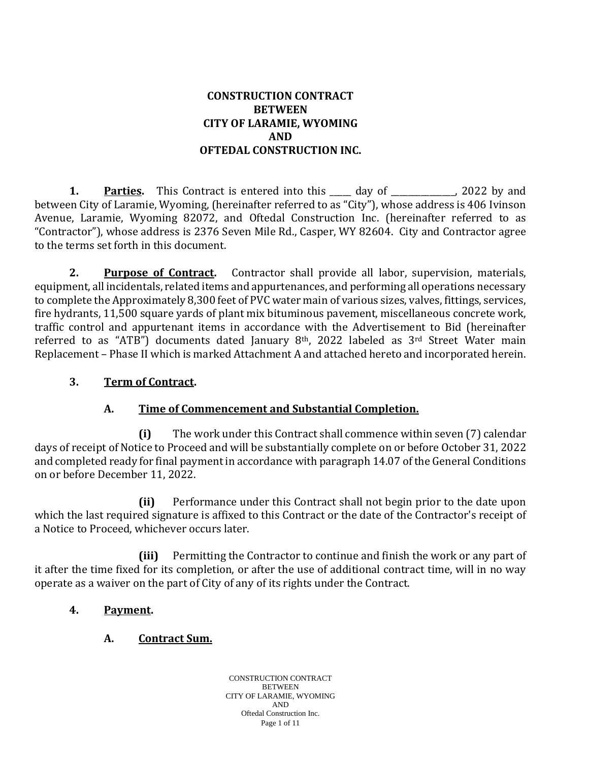### **CONSTRUCTION CONTRACT BETWEEN CITY OF LARAMIE, WYOMING AND OFTEDAL CONSTRUCTION INC.**

**1. Parties.** This Contract is entered into this day of the particle particle particle particle particle particle particle particle particle particle particle particle particle particle particle particle particle particl between City of Laramie, Wyoming, (hereinafter referred to as "City"), whose address is 406 Ivinson Avenue, Laramie, Wyoming 82072, and Oftedal Construction Inc. (hereinafter referred to as "Contractor"), whose address is 2376 Seven Mile Rd., Casper, WY 82604. City and Contractor agree to the terms set forth in this document.

**2. Purpose of Contract.** Contractor shall provide all labor, supervision, materials, equipment, all incidentals, related items and appurtenances, and performing all operations necessary to complete the Approximately 8,300 feet of PVC water main of various sizes, valves, fittings, services, fire hydrants, 11,500 square yards of plant mix bituminous pavement, miscellaneous concrete work, traffic control and appurtenant items in accordance with the Advertisement to Bid (hereinafter referred to as "ATB") documents dated January  $8<sup>th</sup>$ , 2022 labeled as  $3<sup>rd</sup>$  Street Water main Replacement – Phase II which is marked Attachment A and attached hereto and incorporated herein.

### **3. Term of Contract.**

## **A. Time of Commencement and Substantial Completion.**

**(i)** The work under this Contract shall commence within seven (7) calendar days of receipt of Notice to Proceed and will be substantially complete on or before October 31, 2022 and completed ready for final payment in accordance with paragraph 14.07 of the General Conditions on or before December 11, 2022.

**(ii)** Performance under this Contract shall not begin prior to the date upon which the last required signature is affixed to this Contract or the date of the Contractor's receipt of a Notice to Proceed, whichever occurs later.

**(iii)** Permitting the Contractor to continue and finish the work or any part of it after the time fixed for its completion, or after the use of additional contract time, will in no way operate as a waiver on the part of City of any of its rights under the Contract.

### **4. Payment.**

### **A. Contract Sum.**

CONSTRUCTION CONTRACT **BETWEEN** CITY OF LARAMIE, WYOMING AND Oftedal Construction Inc. Page 1 of 11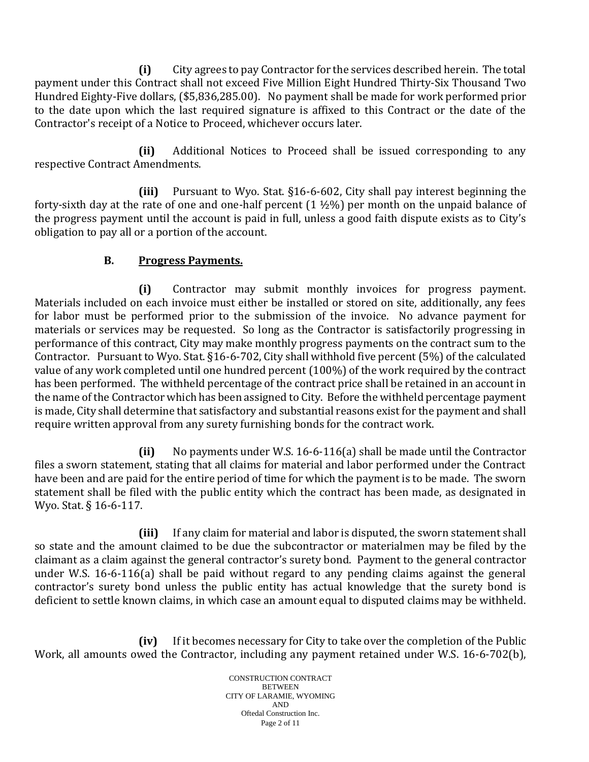**(i)** City agrees to pay Contractor for the services described herein. The total payment under this Contract shall not exceed Five Million Eight Hundred Thirty-Six Thousand Two Hundred Eighty-Five dollars, (\$5,836,285.00). No payment shall be made for work performed prior to the date upon which the last required signature is affixed to this Contract or the date of the Contractor's receipt of a Notice to Proceed, whichever occurs later.

**(ii)** Additional Notices to Proceed shall be issued corresponding to any respective Contract Amendments.

**(iii)** Pursuant to Wyo. Stat. §16-6-602, City shall pay interest beginning the forty-sixth day at the rate of one and one-half percent  $(1 \frac{1}{2}\%)$  per month on the unpaid balance of the progress payment until the account is paid in full, unless a good faith dispute exists as to City's obligation to pay all or a portion of the account.

## **B. Progress Payments.**

**(i)** Contractor may submit monthly invoices for progress payment. Materials included on each invoice must either be installed or stored on site, additionally, any fees for labor must be performed prior to the submission of the invoice. No advance payment for materials or services may be requested. So long as the Contractor is satisfactorily progressing in performance of this contract, City may make monthly progress payments on the contract sum to the Contractor. Pursuant to Wyo. Stat. §16-6-702, City shall withhold five percent (5%) of the calculated value of any work completed until one hundred percent (100%) of the work required by the contract has been performed. The withheld percentage of the contract price shall be retained in an account in the name of the Contractor which has been assigned to City. Before the withheld percentage payment is made, City shall determine that satisfactory and substantial reasons exist for the payment and shall require written approval from any surety furnishing bonds for the contract work.

**(ii)** No payments under W.S. 16-6-116(a) shall be made until the Contractor files a sworn statement, stating that all claims for material and labor performed under the Contract have been and are paid for the entire period of time for which the payment is to be made. The sworn statement shall be filed with the public entity which the contract has been made, as designated in Wyo. Stat. § 16-6-117.

**(iii)** If any claim for material and labor is disputed, the sworn statement shall so state and the amount claimed to be due the subcontractor or materialmen may be filed by the claimant as a claim against the general contractor's surety bond. Payment to the general contractor under W.S. 16-6-116(a) shall be paid without regard to any pending claims against the general contractor's surety bond unless the public entity has actual knowledge that the surety bond is deficient to settle known claims, in which case an amount equal to disputed claims may be withheld.

**(iv)** If it becomes necessary for City to take over the completion of the Public Work, all amounts owed the Contractor, including any payment retained under W.S. 16-6-702(b),

> CONSTRUCTION CONTRACT **BETWEEN** CITY OF LARAMIE, WYOMING AND Oftedal Construction Inc. Page 2 of 11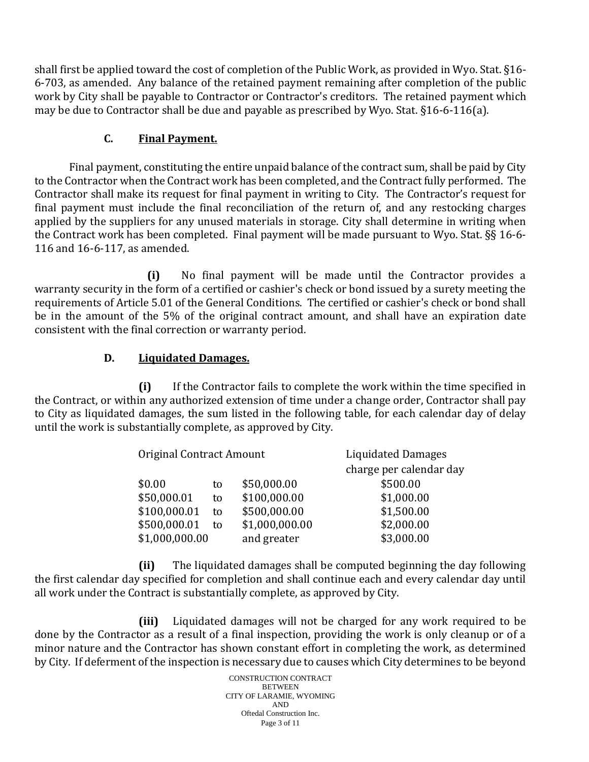shall first be applied toward the cost of completion of the Public Work, as provided in Wyo. Stat. §16- 6-703, as amended. Any balance of the retained payment remaining after completion of the public work by City shall be payable to Contractor or Contractor's creditors. The retained payment which may be due to Contractor shall be due and payable as prescribed by Wyo. Stat. §16-6-116(a).

### **C. Final Payment.**

Final payment, constituting the entire unpaid balance of the contract sum, shall be paid by City to the Contractor when the Contract work has been completed, and the Contract fully performed. The Contractor shall make its request for final payment in writing to City. The Contractor's request for final payment must include the final reconciliation of the return of, and any restocking charges applied by the suppliers for any unused materials in storage. City shall determine in writing when the Contract work has been completed. Final payment will be made pursuant to Wyo. Stat. §§ 16-6- 116 and 16-6-117, as amended.

**(i)** No final payment will be made until the Contractor provides a warranty security in the form of a certified or cashier's check or bond issued by a surety meeting the requirements of Article 5.01 of the General Conditions. The certified or cashier's check or bond shall be in the amount of the 5% of the original contract amount, and shall have an expiration date consistent with the final correction or warranty period.

## **D. Liquidated Damages.**

**(i)** If the Contractor fails to complete the work within the time specified in the Contract, or within any authorized extension of time under a change order, Contractor shall pay to City as liquidated damages, the sum listed in the following table, for each calendar day of delay until the work is substantially complete, as approved by City.

| Original Contract Amount |    |                | <b>Liquidated Damages</b> |
|--------------------------|----|----------------|---------------------------|
|                          |    |                | charge per calendar day   |
| \$0.00                   | to | \$50,000.00    | \$500.00                  |
| \$50,000.01              | to | \$100,000.00   | \$1,000.00                |
| \$100,000.01             | to | \$500,000.00   | \$1,500.00                |
| \$500,000.01             | to | \$1,000,000.00 | \$2,000.00                |
| \$1,000,000.00           |    | and greater    | \$3,000.00                |

**(ii)** The liquidated damages shall be computed beginning the day following the first calendar day specified for completion and shall continue each and every calendar day until all work under the Contract is substantially complete, as approved by City.

**(iii)** Liquidated damages will not be charged for any work required to be done by the Contractor as a result of a final inspection, providing the work is only cleanup or of a minor nature and the Contractor has shown constant effort in completing the work, as determined by City. If deferment of the inspection is necessary due to causes which City determines to be beyond

> CONSTRUCTION CONTRACT **BETWEEN** CITY OF LARAMIE, WYOMING AND Oftedal Construction Inc. Page 3 of 11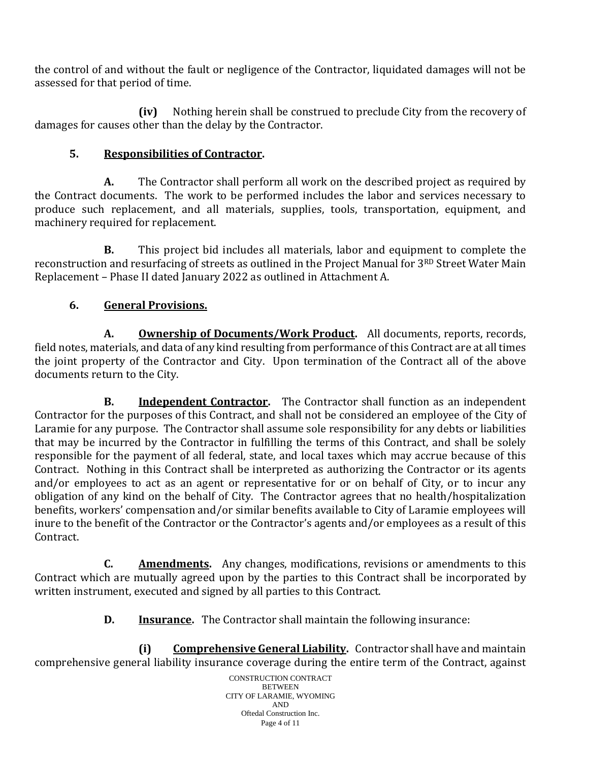the control of and without the fault or negligence of the Contractor, liquidated damages will not be assessed for that period of time.

**(iv)** Nothing herein shall be construed to preclude City from the recovery of damages for causes other than the delay by the Contractor.

# **5. Responsibilities of Contractor.**

**A.** The Contractor shall perform all work on the described project as required by the Contract documents. The work to be performed includes the labor and services necessary to produce such replacement, and all materials, supplies, tools, transportation, equipment, and machinery required for replacement.

**B.** This project bid includes all materials, labor and equipment to complete the reconstruction and resurfacing of streets as outlined in the Project Manual for 3RD Street Water Main Replacement – Phase II dated January 2022 as outlined in Attachment A.

# **6. General Provisions.**

**A. Ownership of Documents/Work Product.** All documents, reports, records, field notes, materials, and data of any kind resulting from performance of this Contract are at all times the joint property of the Contractor and City. Upon termination of the Contract all of the above documents return to the City.

**B. Independent Contractor.** The Contractor shall function as an independent Contractor for the purposes of this Contract, and shall not be considered an employee of the City of Laramie for any purpose. The Contractor shall assume sole responsibility for any debts or liabilities that may be incurred by the Contractor in fulfilling the terms of this Contract, and shall be solely responsible for the payment of all federal, state, and local taxes which may accrue because of this Contract. Nothing in this Contract shall be interpreted as authorizing the Contractor or its agents and/or employees to act as an agent or representative for or on behalf of City, or to incur any obligation of any kind on the behalf of City. The Contractor agrees that no health/hospitalization benefits, workers' compensation and/or similar benefits available to City of Laramie employees will inure to the benefit of the Contractor or the Contractor's agents and/or employees as a result of this Contract.

**C. Amendments.** Any changes, modifications, revisions or amendments to this Contract which are mutually agreed upon by the parties to this Contract shall be incorporated by written instrument, executed and signed by all parties to this Contract.

**D. Insurance.** The Contractor shall maintain the following insurance:

**(i) Comprehensive General Liability.** Contractor shall have and maintain comprehensive general liability insurance coverage during the entire term of the Contract, against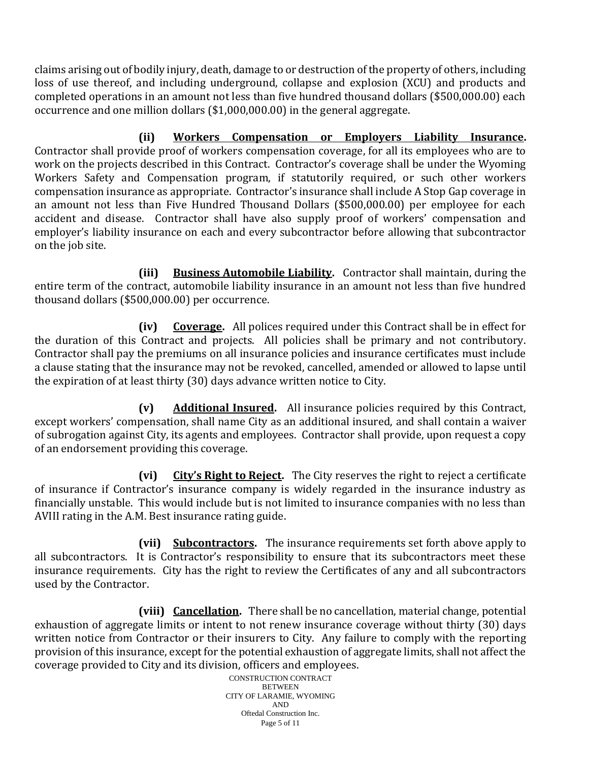claims arising out of bodily injury, death, damage to or destruction of the property of others, including loss of use thereof, and including underground, collapse and explosion (XCU) and products and completed operations in an amount not less than five hundred thousand dollars (\$500,000.00) each occurrence and one million dollars (\$1,000,000.00) in the general aggregate.

**(ii) Workers Compensation or Employers Liability Insurance.** Contractor shall provide proof of workers compensation coverage, for all its employees who are to work on the projects described in this Contract. Contractor's coverage shall be under the Wyoming Workers Safety and Compensation program, if statutorily required, or such other workers compensation insurance as appropriate. Contractor's insurance shall include A Stop Gap coverage in an amount not less than Five Hundred Thousand Dollars (\$500,000.00) per employee for each accident and disease. Contractor shall have also supply proof of workers' compensation and employer's liability insurance on each and every subcontractor before allowing that subcontractor on the job site.

**(iii) Business Automobile Liability.** Contractor shall maintain, during the entire term of the contract, automobile liability insurance in an amount not less than five hundred thousand dollars (\$500,000.00) per occurrence.

**(iv) Coverage.** All polices required under this Contract shall be in effect for the duration of this Contract and projects. All policies shall be primary and not contributory. Contractor shall pay the premiums on all insurance policies and insurance certificates must include a clause stating that the insurance may not be revoked, cancelled, amended or allowed to lapse until the expiration of at least thirty (30) days advance written notice to City.

**(v) Additional Insured.** All insurance policies required by this Contract, except workers' compensation, shall name City as an additional insured, and shall contain a waiver of subrogation against City, its agents and employees. Contractor shall provide, upon request a copy of an endorsement providing this coverage.

**(vi) City's Right to Reject.** The City reserves the right to reject a certificate of insurance if Contractor's insurance company is widely regarded in the insurance industry as financially unstable. This would include but is not limited to insurance companies with no less than AVIII rating in the A.M. Best insurance rating guide.

**(vii) Subcontractors.** The insurance requirements set forth above apply to all subcontractors. It is Contractor's responsibility to ensure that its subcontractors meet these insurance requirements. City has the right to review the Certificates of any and all subcontractors used by the Contractor.

**(viii) Cancellation.** There shall be no cancellation, material change, potential exhaustion of aggregate limits or intent to not renew insurance coverage without thirty (30) days written notice from Contractor or their insurers to City. Any failure to comply with the reporting provision of this insurance, except for the potential exhaustion of aggregate limits, shall not affect the coverage provided to City and its division, officers and employees.

CONSTRUCTION CONTRACT **BETWEEN** CITY OF LARAMIE, WYOMING AND Oftedal Construction Inc. Page 5 of 11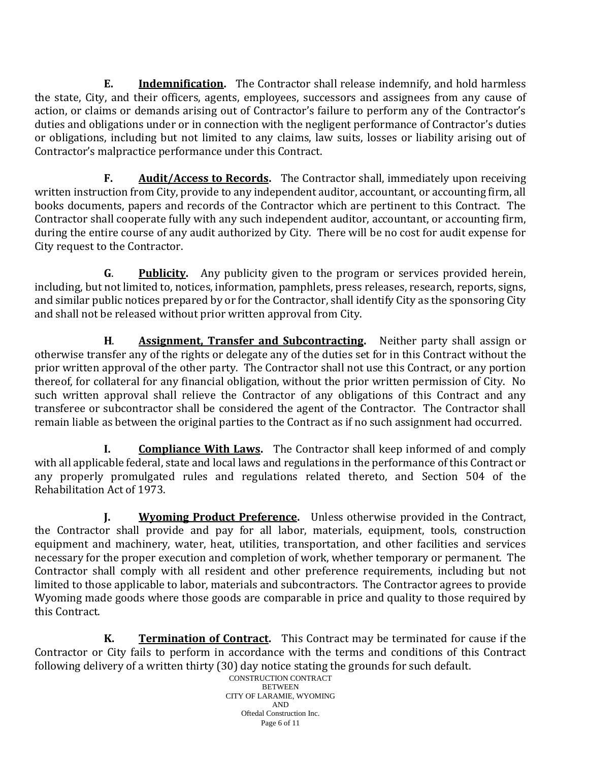**E. Indemnification.** The Contractor shall release indemnify, and hold harmless the state, City, and their officers, agents, employees, successors and assignees from any cause of action, or claims or demands arising out of Contractor's failure to perform any of the Contractor's duties and obligations under or in connection with the negligent performance of Contractor's duties or obligations, including but not limited to any claims, law suits, losses or liability arising out of Contractor's malpractice performance under this Contract.

**F. Audit/Access to Records.** The Contractor shall, immediately upon receiving written instruction from City, provide to any independent auditor, accountant, or accounting firm, all books documents, papers and records of the Contractor which are pertinent to this Contract. The Contractor shall cooperate fully with any such independent auditor, accountant, or accounting firm, during the entire course of any audit authorized by City. There will be no cost for audit expense for City request to the Contractor.

**G**. **Publicity.** Any publicity given to the program or services provided herein, including, but not limited to, notices, information, pamphlets, press releases, research, reports, signs, and similar public notices prepared by or for the Contractor, shall identify City as the sponsoring City and shall not be released without prior written approval from City.

**H**. **Assignment, Transfer and Subcontracting.** Neither party shall assign or otherwise transfer any of the rights or delegate any of the duties set for in this Contract without the prior written approval of the other party. The Contractor shall not use this Contract, or any portion thereof, for collateral for any financial obligation, without the prior written permission of City. No such written approval shall relieve the Contractor of any obligations of this Contract and any transferee or subcontractor shall be considered the agent of the Contractor. The Contractor shall remain liable as between the original parties to the Contract as if no such assignment had occurred.

**I. Compliance With Laws.** The Contractor shall keep informed of and comply with all applicable federal, state and local laws and regulations in the performance of this Contract or any properly promulgated rules and regulations related thereto, and Section 504 of the Rehabilitation Act of 1973.

**J. Wyoming Product Preference.** Unless otherwise provided in the Contract, the Contractor shall provide and pay for all labor, materials, equipment, tools, construction equipment and machinery, water, heat, utilities, transportation, and other facilities and services necessary for the proper execution and completion of work, whether temporary or permanent. The Contractor shall comply with all resident and other preference requirements, including but not limited to those applicable to labor, materials and subcontractors. The Contractor agrees to provide Wyoming made goods where those goods are comparable in price and quality to those required by this Contract.

**K. Termination of Contract.** This Contract may be terminated for cause if the Contractor or City fails to perform in accordance with the terms and conditions of this Contract following delivery of a written thirty (30) day notice stating the grounds for such default.

CONSTRUCTION CONTRACT **BETWEEN** CITY OF LARAMIE, WYOMING AND Oftedal Construction Inc. Page 6 of 11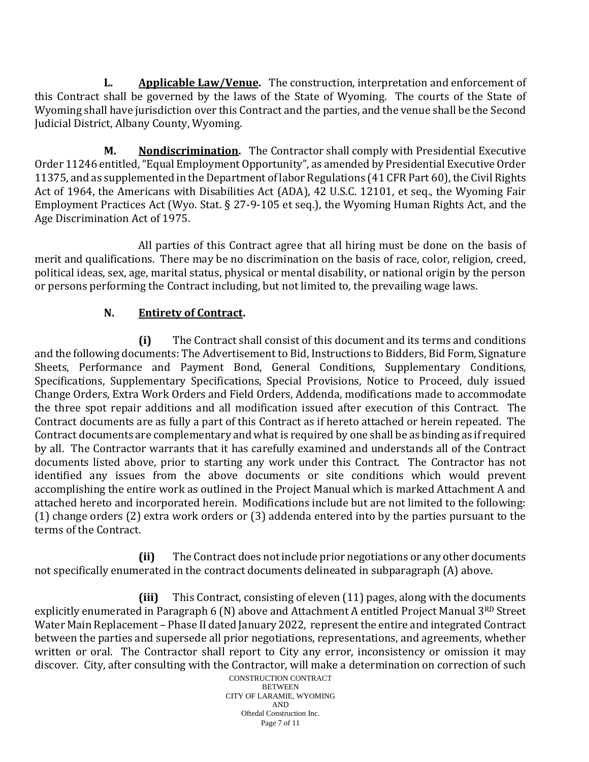**L. Applicable Law/Venue.** The construction, interpretation and enforcement of this Contract shall be governed by the laws of the State of Wyoming. The courts of the State of Wyoming shall have jurisdiction over this Contract and the parties, and the venue shall be the Second Judicial District, Albany County, Wyoming.

**M. Nondiscrimination.** The Contractor shall comply with Presidential Executive Order 11246 entitled, "Equal Employment Opportunity", as amended by Presidential Executive Order 11375, and as supplemented in the Department of labor Regulations (41 CFR Part 60), the Civil Rights Act of 1964, the Americans with Disabilities Act (ADA), 42 U.S.C. 12101, et seq., the Wyoming Fair Employment Practices Act (Wyo. Stat. § 27-9-105 et seq.), the Wyoming Human Rights Act, and the Age Discrimination Act of 1975.

All parties of this Contract agree that all hiring must be done on the basis of merit and qualifications. There may be no discrimination on the basis of race, color, religion, creed, political ideas, sex, age, marital status, physical or mental disability, or national origin by the person or persons performing the Contract including, but not limited to, the prevailing wage laws.

# **N. Entirety of Contract.**

**(i)** The Contract shall consist of this document and its terms and conditions and the following documents: The Advertisement to Bid, Instructions to Bidders, Bid Form, Signature Sheets, Performance and Payment Bond, General Conditions, Supplementary Conditions, Specifications, Supplementary Specifications, Special Provisions, Notice to Proceed, duly issued Change Orders, Extra Work Orders and Field Orders, Addenda, modifications made to accommodate the three spot repair additions and all modification issued after execution of this Contract. The Contract documents are as fully a part of this Contract as if hereto attached or herein repeated. The Contract documents are complementary and what is required by one shall be as binding as if required by all. The Contractor warrants that it has carefully examined and understands all of the Contract documents listed above, prior to starting any work under this Contract. The Contractor has not identified any issues from the above documents or site conditions which would prevent accomplishing the entire work as outlined in the Project Manual which is marked Attachment A and attached hereto and incorporated herein. Modifications include but are not limited to the following: (1) change orders (2) extra work orders or (3) addenda entered into by the parties pursuant to the terms of the Contract.

**(ii)** The Contract does not include prior negotiations or any other documents not specifically enumerated in the contract documents delineated in subparagraph (A) above.

**(iii)** This Contract, consisting of eleven (11) pages, along with the documents explicitly enumerated in Paragraph 6 (N) above and Attachment A entitled Project Manual 3RD Street Water Main Replacement – Phase II dated January 2022, represent the entire and integrated Contract between the parties and supersede all prior negotiations, representations, and agreements, whether written or oral. The Contractor shall report to City any error, inconsistency or omission it may discover. City, after consulting with the Contractor, will make a determination on correction of such

CONSTRUCTION CONTRACT **BETWEEN** CITY OF LARAMIE, WYOMING AND Oftedal Construction Inc. Page 7 of 11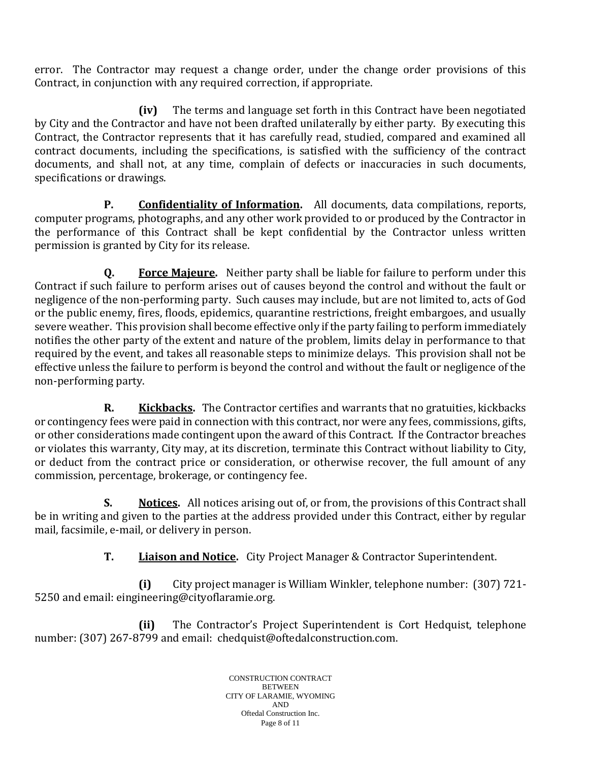error. The Contractor may request a change order, under the change order provisions of this Contract, in conjunction with any required correction, if appropriate.

**(iv)** The terms and language set forth in this Contract have been negotiated by City and the Contractor and have not been drafted unilaterally by either party. By executing this Contract, the Contractor represents that it has carefully read, studied, compared and examined all contract documents, including the specifications, is satisfied with the sufficiency of the contract documents, and shall not, at any time, complain of defects or inaccuracies in such documents, specifications or drawings.

**P. Confidentiality of Information.** All documents, data compilations, reports, computer programs, photographs, and any other work provided to or produced by the Contractor in the performance of this Contract shall be kept confidential by the Contractor unless written permission is granted by City for its release.

**Q. Force Majeure.** Neither party shall be liable for failure to perform under this Contract if such failure to perform arises out of causes beyond the control and without the fault or negligence of the non-performing party. Such causes may include, but are not limited to, acts of God or the public enemy, fires, floods, epidemics, quarantine restrictions, freight embargoes, and usually severe weather. This provision shall become effective only if the party failing to perform immediately notifies the other party of the extent and nature of the problem, limits delay in performance to that required by the event, and takes all reasonable steps to minimize delays. This provision shall not be effective unless the failure to perform is beyond the control and without the fault or negligence of the non-performing party.

**R. Kickbacks.** The Contractor certifies and warrants that no gratuities, kickbacks or contingency fees were paid in connection with this contract, nor were any fees, commissions, gifts, or other considerations made contingent upon the award of this Contract. If the Contractor breaches or violates this warranty, City may, at its discretion, terminate this Contract without liability to City, or deduct from the contract price or consideration, or otherwise recover, the full amount of any commission, percentage, brokerage, or contingency fee.

**S. Notices.** All notices arising out of, or from, the provisions of this Contract shall be in writing and given to the parties at the address provided under this Contract, either by regular mail, facsimile, e-mail, or delivery in person.

**T. Liaison and Notice.** City Project Manager & Contractor Superintendent.

**(i)** City project manager is William Winkler, telephone number: (307) 721- 5250 and email: eingineering@cityoflaramie.org.

**(ii)** The Contractor's Project Superintendent is Cort Hedquist, telephone number: (307) 267-8799 and email: chedquist@oftedalconstruction.com.

> CONSTRUCTION CONTRACT **BETWEEN** CITY OF LARAMIE, WYOMING AND Oftedal Construction Inc. Page 8 of 11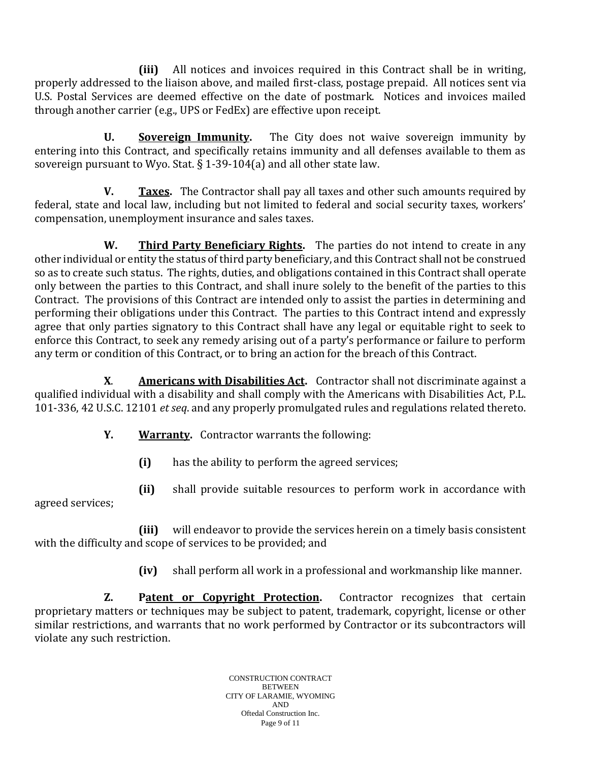**(iii)** All notices and invoices required in this Contract shall be in writing, properly addressed to the liaison above, and mailed first-class, postage prepaid. All notices sent via U.S. Postal Services are deemed effective on the date of postmark. Notices and invoices mailed through another carrier (e.g., UPS or FedEx) are effective upon receipt.

**U. Sovereign Immunity.** The City does not waive sovereign immunity by entering into this Contract, and specifically retains immunity and all defenses available to them as sovereign pursuant to Wyo. Stat. § 1-39-104(a) and all other state law.

**V. Taxes.** The Contractor shall pay all taxes and other such amounts required by federal, state and local law, including but not limited to federal and social security taxes, workers' compensation, unemployment insurance and sales taxes.

**W. Third Party Beneficiary Rights.** The parties do not intend to create in any other individual or entity the status of third party beneficiary, and this Contract shall not be construed so as to create such status. The rights, duties, and obligations contained in this Contract shall operate only between the parties to this Contract, and shall inure solely to the benefit of the parties to this Contract. The provisions of this Contract are intended only to assist the parties in determining and performing their obligations under this Contract. The parties to this Contract intend and expressly agree that only parties signatory to this Contract shall have any legal or equitable right to seek to enforce this Contract, to seek any remedy arising out of a party's performance or failure to perform any term or condition of this Contract, or to bring an action for the breach of this Contract.

**X**. **Americans with Disabilities Act.** Contractor shall not discriminate against a qualified individual with a disability and shall comply with the Americans with Disabilities Act, P.L. 101-336, 42 U.S.C. 12101 *et seq*. and any properly promulgated rules and regulations related thereto.

- **Y. Warranty.** Contractor warrants the following:
	- **(i)** has the ability to perform the agreed services;
- **(ii)** shall provide suitable resources to perform work in accordance with agreed services;

**(iii)** will endeavor to provide the services herein on a timely basis consistent with the difficulty and scope of services to be provided; and

**(iv)** shall perform all work in a professional and workmanship like manner.

**Z. Patent or Copyright Protection.** Contractor recognizes that certain proprietary matters or techniques may be subject to patent, trademark, copyright, license or other similar restrictions, and warrants that no work performed by Contractor or its subcontractors will violate any such restriction.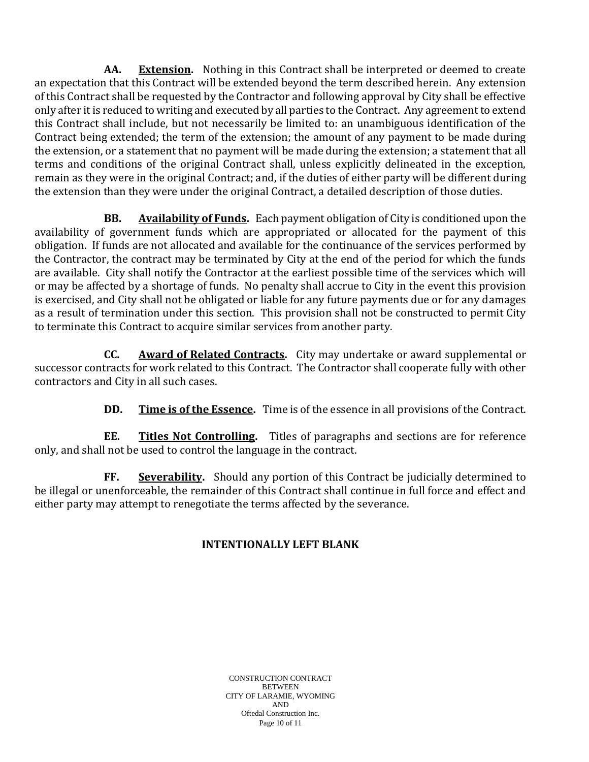**AA. Extension.** Nothing in this Contract shall be interpreted or deemed to create an expectation that this Contract will be extended beyond the term described herein. Any extension of this Contract shall be requested by the Contractor and following approval by City shall be effective only after it is reduced to writing and executed by all parties to the Contract. Any agreement to extend this Contract shall include, but not necessarily be limited to: an unambiguous identification of the Contract being extended; the term of the extension; the amount of any payment to be made during the extension, or a statement that no payment will be made during the extension; a statement that all terms and conditions of the original Contract shall, unless explicitly delineated in the exception, remain as they were in the original Contract; and, if the duties of either party will be different during the extension than they were under the original Contract, a detailed description of those duties.

**BB. Availability of Funds.** Each payment obligation of City is conditioned upon the availability of government funds which are appropriated or allocated for the payment of this obligation. If funds are not allocated and available for the continuance of the services performed by the Contractor, the contract may be terminated by City at the end of the period for which the funds are available. City shall notify the Contractor at the earliest possible time of the services which will or may be affected by a shortage of funds. No penalty shall accrue to City in the event this provision is exercised, and City shall not be obligated or liable for any future payments due or for any damages as a result of termination under this section. This provision shall not be constructed to permit City to terminate this Contract to acquire similar services from another party.

**CC. Award of Related Contracts.** City may undertake or award supplemental or successor contracts for work related to this Contract. The Contractor shall cooperate fully with other contractors and City in all such cases.

**DD.** Time is of the Essence. Time is of the essence in all provisions of the Contract.

**EE. Titles Not Controlling.** Titles of paragraphs and sections are for reference only, and shall not be used to control the language in the contract.

**FF. Severability.** Should any portion of this Contract be judicially determined to be illegal or unenforceable, the remainder of this Contract shall continue in full force and effect and either party may attempt to renegotiate the terms affected by the severance.

## **INTENTIONALLY LEFT BLANK**

CONSTRUCTION CONTRACT **BETWEEN** CITY OF LARAMIE, WYOMING AND Oftedal Construction Inc. Page 10 of 11